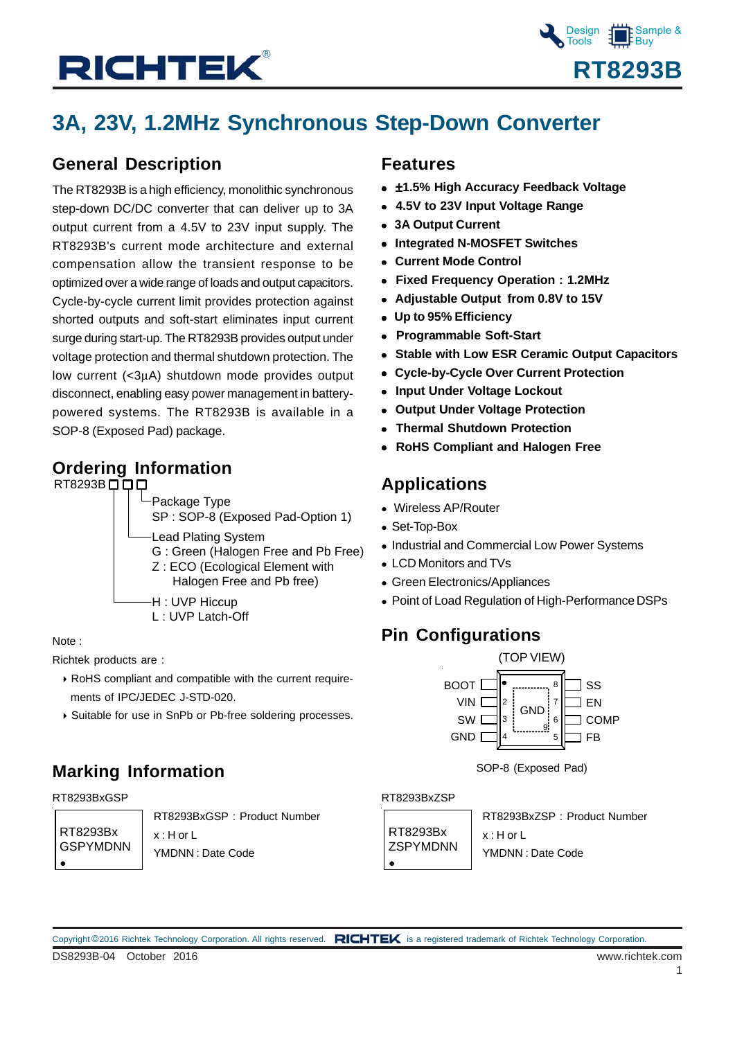

# **3A, 23V, 1.2MHz Synchronous Step-Down Converter**

### **General Description**

The RT8293B is a high efficiency, monolithic synchronous step-down DC/DC converter that can deliver up to 3A output current from a 4.5V to 23V input supply. The RT8293B's current mode architecture and external compensation allow the transient response to be optimized over a wide range of loads and output capacitors. Cycle-by-cycle current limit provides protection against shorted outputs and soft-start eliminates input current surge during start-up. The RT8293B provides output under voltage protection and thermal shutdown protection. The low current (<3μA) shutdown mode provides output disconnect, enabling easy power management in batterypowered systems. The RT8293B is available in a SOP-8 (Exposed Pad) package.

### **Ordering Information**



Note :

Richtek products are :

- RoHS compliant and compatible with the current require ments of IPC/JEDEC J-STD-020.
- Suitable for use in SnPb or Pb-free soldering processes.

### **Marking Information**

#### RT8293BxGSP RT8293BxZSP

RT8293Bx GSPYMDNN RT8293BxGSP : Product Number x : H or L YMDNN : Date Code

### **Features**

- ±**1.5% High Accuracy Feedback Voltage**
- **4.5V to 23V Input Voltage Range**
- **3A Output Current**
- **Integrated N-MOSFET Switches**
- **Current Mode Control**
- **Fixed Frequency Operation : 1.2MHz**
- **Adjustable Output from 0.8V to 15V**
- **Up to 95% Efficiency**
- **Programmable Soft-Start**
- **Stable with Low ESR Ceramic Output Capacitors**
- **Cycle-by-Cycle Over Current Protection**
- **Input Under Voltage Lockout**
- **Output Under Voltage Protection**
- **Thermal Shutdown Protection**
- **RoHS Compliant and Halogen Free**

### **Applications**

- Wireless AP/Router
- Set-Top-Box
- Industrial and Commercial Low Power Systems
- LCD Monitors and TVs
- Green Electronics/Appliances
- Point of Load Regulation of High-Performance DSPs

### **Pin Configurations**



SOP-8 (Exposed Pad)

RT8293Bx **ZSPYMDNN**  $\bullet$ 

RT8293BxZSP : Product Number x : H or L YMDNN : Date Code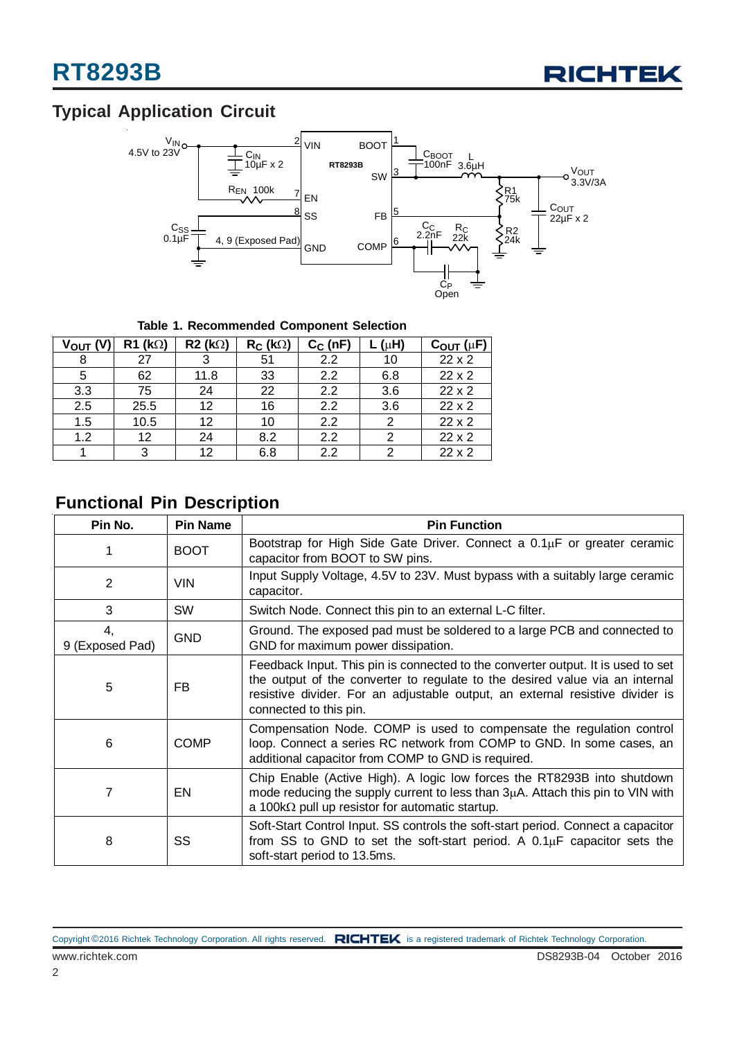

# **Typical Application Circuit**



**Table 1. Recommended Component Selection**

| VOUT <sub>(V</sub> | $R1$ (kΩ) | $R2$ (kΩ) | $R_C$ (k $\Omega$ ) | $C_C$ (nF) | $(\mu H)$ | $C_{\text{OUT}}(\mu F)$ |
|--------------------|-----------|-----------|---------------------|------------|-----------|-------------------------|
| 8                  | 27        | 3         | 51                  | 2.2        | 10        | $22 \times 2$           |
| 5                  | 62        | 11.8      | 33                  | 2.2        | 6.8       | 22 x 2                  |
| 3.3                | 75        | 24        | 22                  | 2.2        | 3.6       | $22 \times 2$           |
| 2.5                | 25.5      | 12        | 16                  | 2.2        | 3.6       | $22 \times 2$           |
| 1.5                | 10.5      | 12        | 10                  | 2.2        |           | $22 \times 2$           |
| 1.2                | 12        | 24        | 8.2                 | 2.2        |           | $22 \times 2$           |
|                    | 3         | 12        | 6.8                 | 2.2        |           | $22 \times 2$           |

### **Functional Pin Description**

| Pin No.               | <b>Pin Name</b> | <b>Pin Function</b>                                                                                                                                                                                                                                                         |
|-----------------------|-----------------|-----------------------------------------------------------------------------------------------------------------------------------------------------------------------------------------------------------------------------------------------------------------------------|
| 1                     | <b>BOOT</b>     | Bootstrap for High Side Gate Driver. Connect a 0.1µF or greater ceramic<br>capacitor from BOOT to SW pins.                                                                                                                                                                  |
| 2                     | <b>VIN</b>      | Input Supply Voltage, 4.5V to 23V. Must bypass with a suitably large ceramic<br>capacitor.                                                                                                                                                                                  |
| 3                     | <b>SW</b>       | Switch Node. Connect this pin to an external L-C filter.                                                                                                                                                                                                                    |
| 4.<br>9 (Exposed Pad) | <b>GND</b>      | Ground. The exposed pad must be soldered to a large PCB and connected to<br>GND for maximum power dissipation.                                                                                                                                                              |
| 5                     | FB.             | Feedback Input. This pin is connected to the converter output. It is used to set<br>the output of the converter to regulate to the desired value via an internal<br>resistive divider. For an adjustable output, an external resistive divider is<br>connected to this pin. |
| 6                     | <b>COMP</b>     | Compensation Node. COMP is used to compensate the regulation control<br>loop. Connect a series RC network from COMP to GND. In some cases, an<br>additional capacitor from COMP to GND is required.                                                                         |
| 7                     | EN              | Chip Enable (Active High). A logic low forces the RT8293B into shutdown<br>mode reducing the supply current to less than $3\mu A$ . Attach this pin to VIN with<br>a 100k $\Omega$ pull up resistor for automatic startup.                                                  |
| 8                     | SS              | Soft-Start Control Input. SS controls the soft-start period. Connect a capacitor<br>from SS to GND to set the soft-start period. A $0.1\mu$ F capacitor sets the<br>soft-start period to 13.5ms.                                                                            |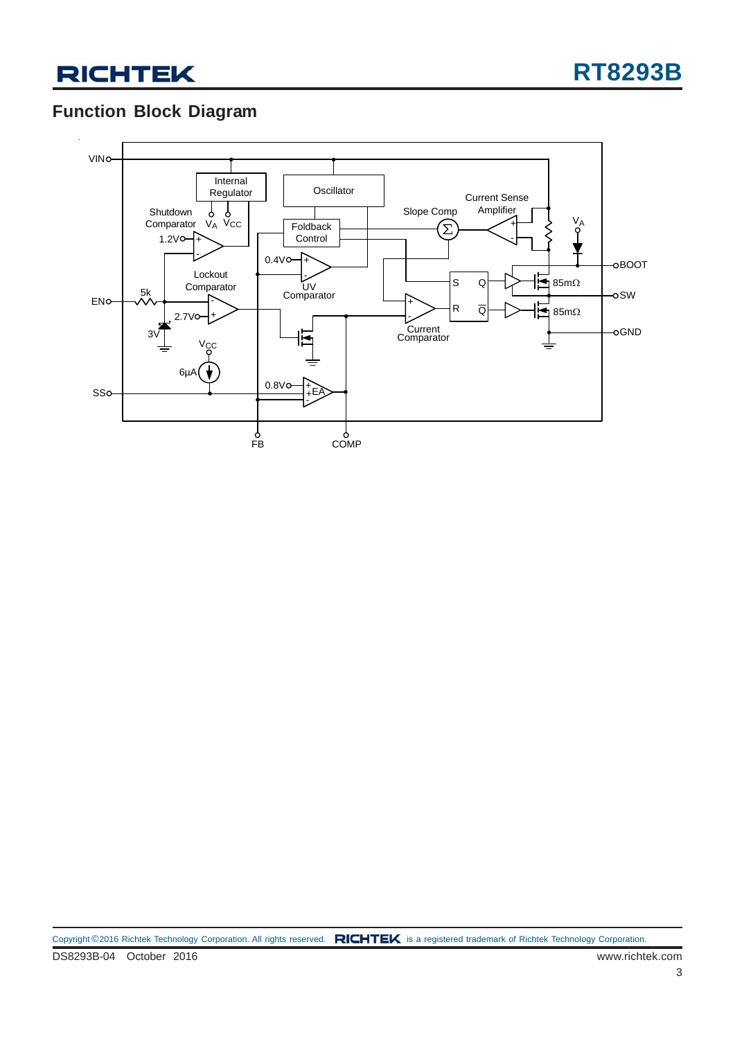# **Function Block Diagram**

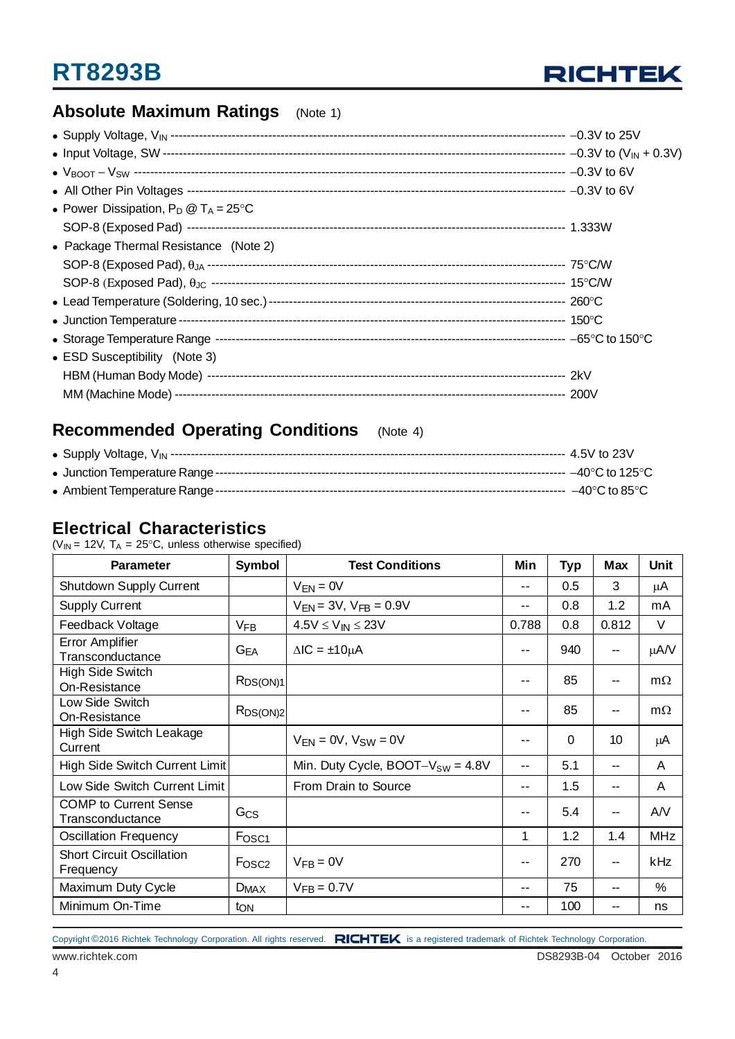

### **Absolute Maximum Ratings** (Note 1)

| • Power Dissipation, $P_D @ T_A = 25^{\circ}C$ |  |
|------------------------------------------------|--|
|                                                |  |
| • Package Thermal Resistance (Note 2)          |  |
|                                                |  |
|                                                |  |
|                                                |  |
|                                                |  |
|                                                |  |
| • ESD Susceptibility (Note 3)                  |  |
|                                                |  |
|                                                |  |

# **Recommended Operating Conditions** (Note 4)

### **Electrical Characteristics**

( $V_{IN}$  = 12V,  $T_A$  = 25°C, unless otherwise specified)

| <b>Parameter</b>                                 | <b>Symbol</b>           | <b>Test Conditions</b>                | Min                      | <b>Typ</b> | <b>Max</b> | Unit       |
|--------------------------------------------------|-------------------------|---------------------------------------|--------------------------|------------|------------|------------|
| <b>Shutdown Supply Current</b>                   |                         | $V_{FN} = 0V$                         | --                       | 0.5        | 3          | μA         |
| <b>Supply Current</b>                            |                         | $V_{EN} = 3V$ , $V_{FB} = 0.9V$       | --                       | 0.8        | 1.2        | mA         |
| Feedback Voltage                                 | $V_{FB}$                | $4.5V \leq V_{IN} \leq 23V$           | 0.788                    | 0.8        | 0.812      | $\vee$     |
| <b>Error Amplifier</b><br>Transconductance       | $G_{EA}$                | $\Delta$ IC = $\pm$ 10 $\mu$ A        | --                       | 940        | --         | $\mu A/V$  |
| High Side Switch<br>On-Resistance                | $R_{DS(ON)1}$           |                                       | $- -$                    | 85         | --         | $m\Omega$  |
| Low Side Switch<br>On-Resistance                 | RDS(ON)2                |                                       | --                       | 85         | --         | $m\Omega$  |
| High Side Switch Leakage<br>Current              |                         | $V_{FN} = 0V$ , $V_{SW} = 0V$         | $- -$                    | 0          | 10         | μA         |
| High Side Switch Current Limit                   |                         | Min. Duty Cycle, $BOOT-V_{SW} = 4.8V$ | --                       | 5.1        | --         | A          |
| Low Side Switch Current Limit                    |                         | From Drain to Source                  | $\overline{\phantom{a}}$ | 1.5        | --         | A          |
| <b>COMP</b> to Current Sense<br>Transconductance | Gcs                     |                                       | --                       | 5.4        | --         | AN         |
| <b>Oscillation Frequency</b>                     | Fosc <sub>1</sub>       |                                       | 1                        | 1.2        | 1.4        | <b>MHz</b> |
| <b>Short Circuit Oscillation</b><br>Frequency    | F <sub>OSC2</sub>       | $V_{FB} = 0V$                         | --                       | 270        | --         | kHz        |
| Maximum Duty Cycle                               | <b>D</b> <sub>MAX</sub> | $V_{FB} = 0.7V$                       | --                       | 75         | --         | $\%$       |
| Minimum On-Time                                  | ton                     |                                       | --                       | 100        | --         | ns         |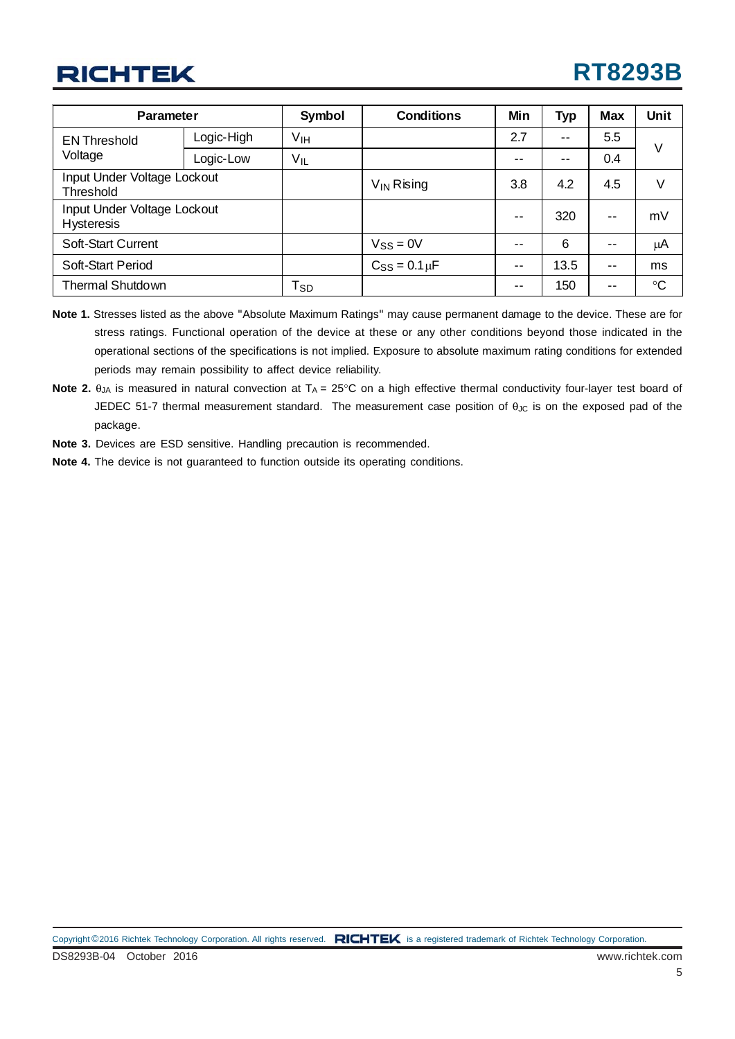# **RT8293B**

| <b>Parameter</b>                                 |            | <b>Symbol</b>              | <b>Conditions</b>    | Min           | <b>Typ</b> | Max                      | Unit            |
|--------------------------------------------------|------------|----------------------------|----------------------|---------------|------------|--------------------------|-----------------|
| <b>EN Threshold</b>                              | Logic-High | νін                        |                      | 2.7           | $ -$       | 5.5                      | V               |
| Voltage                                          | Logic-Low  | Vıl                        |                      | --            | $ -$       | 0.4                      |                 |
| Input Under Voltage Lockout<br>Threshold         |            |                            | $V_{IN}$ Rising      | 3.8           | 4.2        | 4.5                      | V               |
| Input Under Voltage Lockout<br><b>Hysteresis</b> |            |                            |                      | $\sim$ $\sim$ | 320        | $\overline{\phantom{a}}$ | mV              |
| <b>Soft-Start Current</b>                        |            |                            | $V_{SS} = 0V$        | --            | 6          | --                       | μA              |
| Soft-Start Period                                |            |                            | $C_{SS} = 0.1 \mu F$ | $- -$         | 13.5       | $ -$                     | ms              |
| <b>Thermal Shutdown</b>                          |            | $\mathsf{T}_{\mathsf{SD}}$ |                      | --            | 150        | $ -$                     | $\rm ^{\circ}C$ |

- **Note 1.** Stresses listed as the above "Absolute Maximum Ratings" may cause permanent damage to the device. These are for stress ratings. Functional operation of the device at these or any other conditions beyond those indicated in the operational sections of the specifications is not implied. Exposure to absolute maximum rating conditions for extended periods may remain possibility to affect device reliability.
- Note 2. θ<sub>JA</sub> is measured in natural convection at T<sub>A</sub> = 25°C on a high effective thermal conductivity four-layer test board of JEDEC 51-7 thermal measurement standard. The measurement case position of θ<sub>JC</sub> is on the exposed pad of the package.
- **Note 3.** Devices are ESD sensitive. Handling precaution is recommended.
- **Note 4.** The device is not guaranteed to function outside its operating conditions.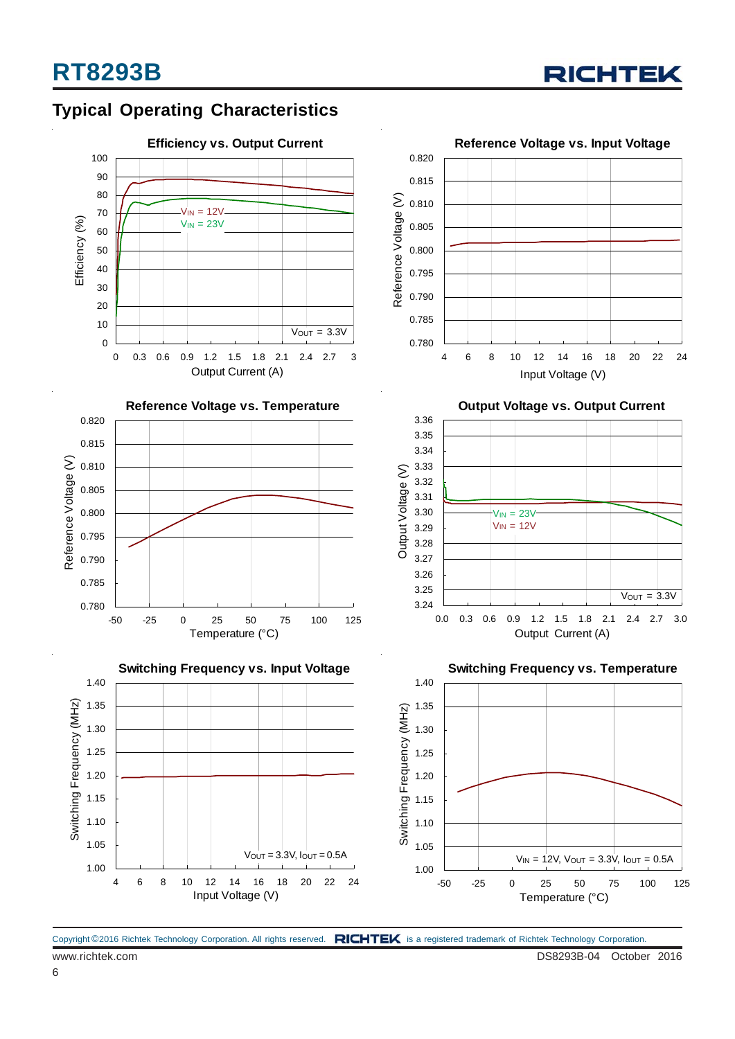

### **Typical Operating Characteristics**











**Output Voltage vs. Output Current**



**Switching Frequency vs. Temperature**



Copyright ©2016 Richtek Technology Corporation. All rights reserved. RICHTEK is a registered trademark of Richtek Technology Corporation.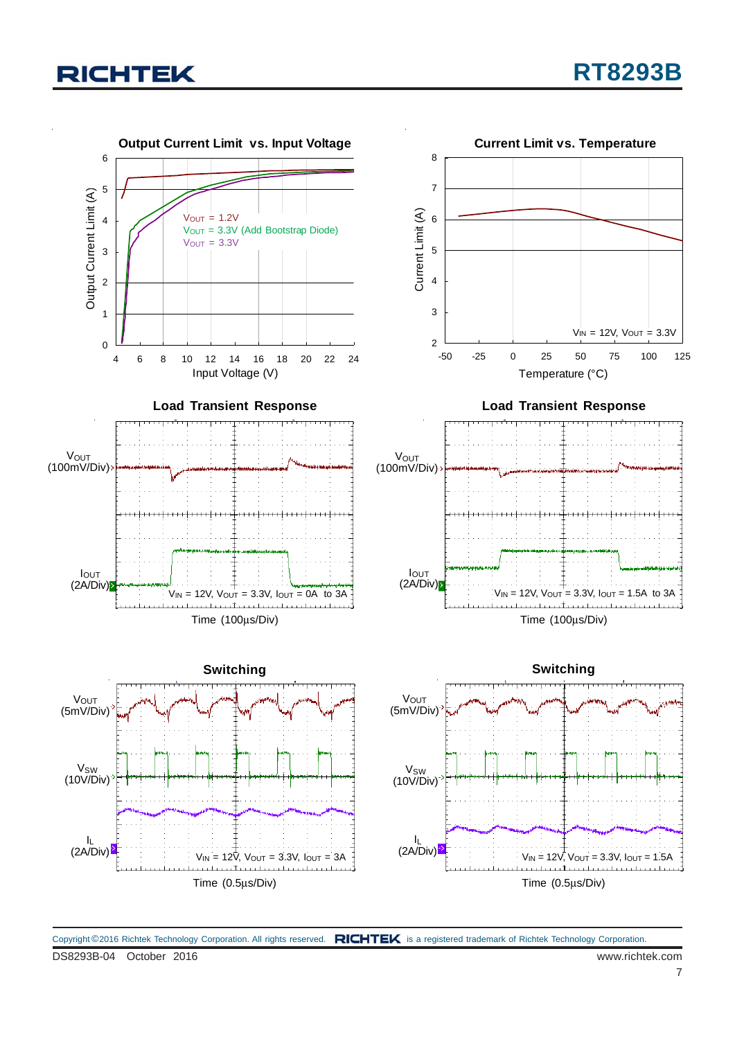

DS8293B-04 October 2016 www.richtek.com Copyright ©2016 Richtek Technology Corporation. All rights reserved. RICHTEK is a registered trademark of Richtek Technology Corporation.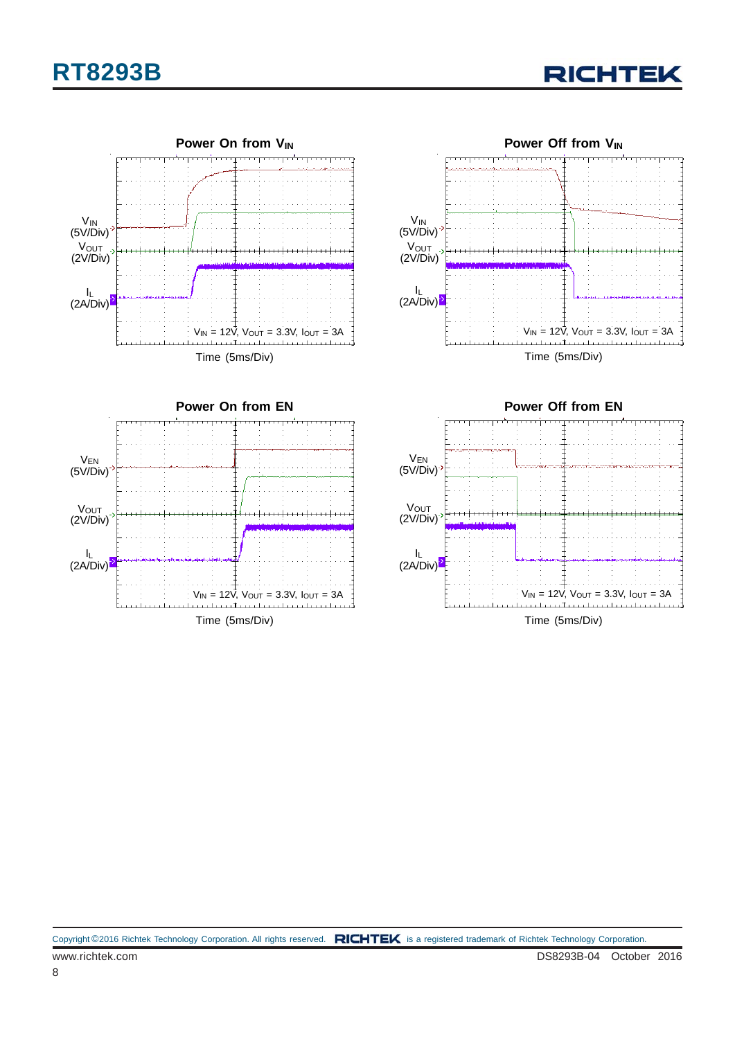# **RT8293B**

**RICHTEK** 



Time (5ms/Div)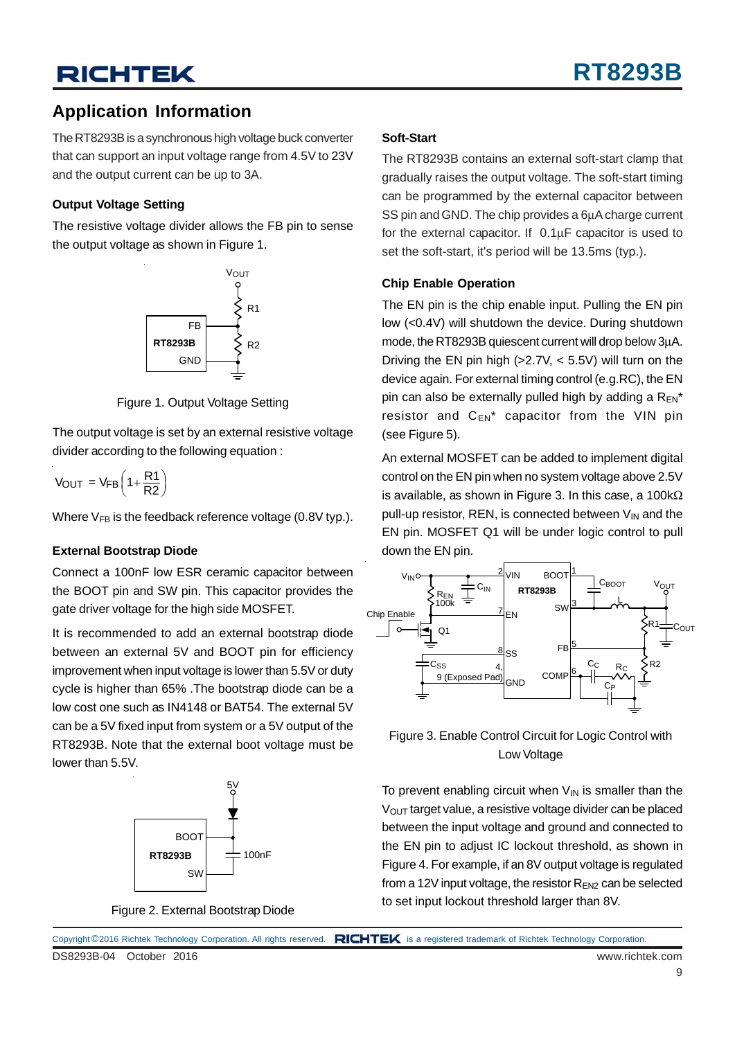### **Application Information**

The RT8293B is a synchronous high voltage buck converter that can support an input voltage range from 4.5V to 23V and the output current can be up to 3A.

#### **Output Voltage Setting**

The resistive voltage divider allows the FB pin to sense the output voltage as shown in Figure 1.



Figure 1. Output Voltage Setting

The output voltage is set by an external resistive voltage divider according to the following equation :

$$
V_{OUT} = V_{FB} \left( 1 + \frac{R1}{R2} \right)
$$

Where  $V_{FB}$  is the feedback reference voltage (0.8V typ.).

#### **External Bootstrap Diode**

Connect a 100nF low ESR ceramic capacitor between the BOOT pin and SW pin. This capacitor provides the gate driver voltage for the high side MOSFET.

It is recommended to add an external bootstrap diode between an external 5V and BOOT pin for efficiency improvement when input voltage is lower than 5.5V or duty cycle is higher than 65% .The bootstrap diode can be a low cost one such as IN4148 or BAT54. The external 5V can be a 5V fixed input from system or a 5V output of the RT8293B. Note that the external boot voltage must be lower than 5.5V.



Figure 2. External Bootstrap Diode

#### **Soft-Start**

The RT8293B contains an external soft-start clamp that gradually raises the output voltage. The soft-start timing can be programmed by the external capacitor between SS pin and GND. The chip provides a 6μA charge current for the external capacitor. If 0.1μF capacitor is used to set the soft-start, it's period will be 13.5ms (typ.).

#### **Chip Enable Operation**

The EN pin is the chip enable input. Pulling the EN pin low (<0.4V) will shutdown the device. During shutdown mode, the RT8293B quiescent current will drop below 3μA. Driving the EN pin high  $(>2.7V, < 5.5V)$  will turn on the device again. For external timing control (e.g.RC), the EN pin can also be externally pulled high by adding a  $R_{EN}^*$ resistor and  $C_{EN}^*$  capacitor from the VIN pin (see Figure 5).

An external MOSFET can be added to implement digital control on the EN pin when no system voltage above 2.5V is available, as shown in Figure 3. In this case, a 100k $\Omega$ pull-up resistor, REN, is connected between  $V_{\text{IN}}$  and the EN pin. MOSFET Q1 will be under logic control to pull down the EN pin.



Figure 3. Enable Control Circuit for Logic Control with Low Voltage

To prevent enabling circuit when  $V_{IN}$  is smaller than the  $V<sub>OUT</sub>$  target value, a resistive voltage divider can be placed between the input voltage and ground and connected to the EN pin to adjust IC lockout threshold, as shown in Figure 4. For example, if an 8V output voltage is regulated from a 12V input voltage, the resistor  $R_{EN2}$  can be selected to set input lockout threshold larger than 8V.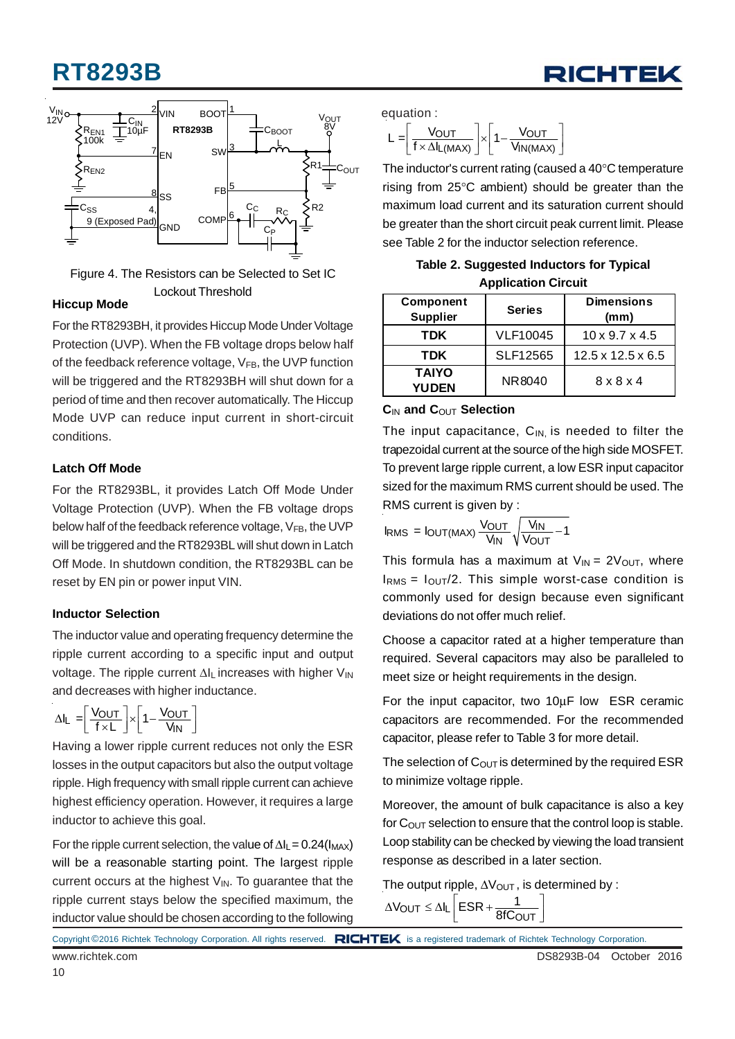# **RT8293B**





Figure 4. The Resistors can be Selected to Set IC Lockout Threshold

#### **Hiccup Mode**

For the RT8293BH, it provides Hiccup Mode Under Voltage Protection (UVP). When the FB voltage drops below half of the feedback reference voltage,  $V_{FB}$ , the UVP function will be triggered and the RT8293BH will shut down for a period of time and then recover automatically. The Hiccup Mode UVP can reduce input current in short-circuit conditions.

#### **Latch Off Mode**

For the RT8293BL, it provides Latch Off Mode Under Voltage Protection (UVP). When the FB voltage drops below half of the feedback reference voltage,  $V_{FB}$ , the UVP will be triggered and the RT8293BL will shut down in Latch Off Mode. In shutdown condition, the RT8293BL can be reset by EN pin or power input VIN.

#### **Inductor Selection**

The inductor value and operating frequency determine the ripple current according to a specific input and output voltage. The ripple current ΔIL increases with higher V<sub>IN</sub> and decreases with higher inductance.

$$
\Delta I_L = \left[ \frac{V_{OUT}}{f \times L} \right] \times \left[ 1 - \frac{V_{OUT}}{V_{IN}} \right]
$$

Having a lower ripple current reduces not only the ESR losses in the output capacitors but also the output voltage ripple. High frequency with small ripple current can achieve highest efficiency operation. However, it requires a large inductor to achieve this goal.

For the ripple current selection, the value of  $\Delta I_1 = 0.24(I_{MAX})$ will be a reasonable starting point. The largest ripple current occurs at the highest  $V_{IN}$ . To guarantee that the ripple current stays below the specified maximum, the inductor value should be chosen according to the following

equation :

$$
L = \left[\frac{V_{OUT}}{f \times \Delta I_{L(MAX)}}\right] \times \left[1 - \frac{V_{OUT}}{V_{IN(MAX)}}\right]
$$

The inductor's current rating (caused a 40°C temperature rising from 25°C ambient) should be greater than the maximum load current and its saturation current should be greater than the short circuit peak current limit. Please see Table 2 for the inductor selection reference.

**Table 2. Suggested Inductors for Typical Application Circuit**

| Component<br><b>Supplier</b> | <b>Series</b>   | <b>Dimensions</b><br>(mm)     |
|------------------------------|-----------------|-------------------------------|
| <b>TDK</b>                   | <b>VLF10045</b> | $10 \times 9.7 \times 4.5$    |
| TDK                          | SLF12565        | $12.5 \times 12.5 \times 6.5$ |
| <b>TAIYO</b><br><b>YUDEN</b> | NR8040          | $8 \times 8 \times 4$         |

#### **C**IN **and C**OUT **Selection**

The input capacitance,  $C_{IN}$  is needed to filter the trapezoidal current at the source of the high side MOSFET. To prevent large ripple current, a low ESR input capacitor sized for the maximum RMS current should be used. The RMS current is given by :

$$
I_{RMS} = I_{OUT(MAX)} \frac{V_{OUT}}{V_{IN}} \sqrt{\frac{V_{IN}}{V_{OUT}} - 1}
$$

This formula has a maximum at  $V_{IN} = 2V_{OUT}$ , where  $I<sub>RMS</sub> = I<sub>OUT</sub>/2$ . This simple worst-case condition is commonly used for design because even significant deviations do not offer much relief.

Choose a capacitor rated at a higher temperature than required. Several capacitors may also be paralleled to meet size or height requirements in the design.

For the input capacitor, two 10μF low ESR ceramic capacitors are recommended. For the recommended capacitor, please refer to Table 3 for more detail.

The selection of  $C_{\text{OUT}}$  is determined by the required ESR to minimize voltage ripple.

Moreover, the amount of bulk capacitance is also a key for  $C_{\text{OUT}}$  selection to ensure that the control loop is stable. Loop stability can be checked by viewing the load transient response as described in a later section.

```
The output ripple, \Delta V_{\text{OUT}}, is determined by :
```
 $\Delta V_{\text{OUT}} \leq \Delta I_L \left[ ESR + \frac{1}{8fC_{\text{OUT}}}\right]$ 

Copyright ©2016 Richtek Technology Corporation. All rights reserved. RICHTEK is a registered trademark of Richtek Technology Corporation.

10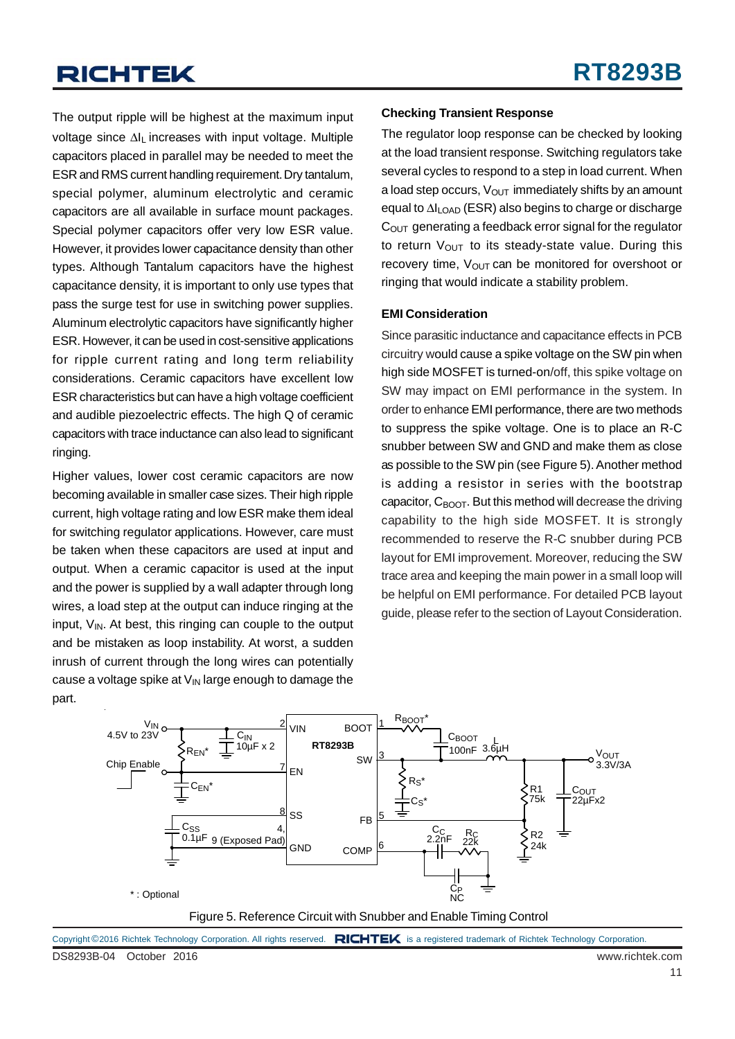The output ripple will be highest at the maximum input voltage since ΔIL increases with input voltage. Multiple capacitors placed in parallel may be needed to meet the ESR and RMS current handling requirement. Dry tantalum, special polymer, aluminum electrolytic and ceramic capacitors are all available in surface mount packages. Special polymer capacitors offer very low ESR value. However, it provides lower capacitance density than other types. Although Tantalum capacitors have the highest capacitance density, it is important to only use types that pass the surge test for use in switching power supplies. Aluminum electrolytic capacitors have significantly higher ESR. However, it can be used in cost-sensitive applications for ripple current rating and long term reliability considerations. Ceramic capacitors have excellent low ESR characteristics but can have a high voltage coefficient and audible piezoelectric effects. The high Q of ceramic capacitors with trace inductance can also lead to significant ringing.

Higher values, lower cost ceramic capacitors are now becoming available in smaller case sizes. Their high ripple current, high voltage rating and low ESR make them ideal for switching regulator applications. However, care must be taken when these capacitors are used at input and output. When a ceramic capacitor is used at the input and the power is supplied by a wall adapter through long wires, a load step at the output can induce ringing at the input,  $V_{IN}$ . At best, this ringing can couple to the output and be mistaken as loop instability. At worst, a sudden inrush of current through the long wires can potentially cause a voltage spike at  $V_{\text{IN}}$  large enough to damage the part.

#### **Checking Transient Response**

The regulator loop response can be checked by looking at the load transient response. Switching regulators take several cycles to respond to a step in load current. When a load step occurs,  $V_{\text{OUT}}$  immediately shifts by an amount equal to ΔILOAD (ESR) also begins to charge or discharge  $C<sub>OUT</sub>$  generating a feedback error signal for the regulator to return  $V_{\text{OUT}}$  to its steady-state value. During this recovery time,  $V_{\text{OUT}}$  can be monitored for overshoot or ringing that would indicate a stability problem.

#### **EMI Consideration**

Since parasitic inductance and capacitance effects in PCB circuitry would cause a spike voltage on the SW pin when high side MOSFET is turned-on/off, this spike voltage on SW may impact on EMI performance in the system. In order to enhance EMI performance, there are two methods to suppress the spike voltage. One is to place an R-C snubber between SW and GND and make them as close as possible to the SW pin (see Figure 5). Another method is adding a resistor in series with the bootstrap capacitor,  $C_{B<sub>Q</sub>OT}$ . But this method will decrease the driving capability to the high side MOSFET. It is strongly recommended to reserve the R-C snubber during PCB layout for EMI improvement. Moreover, reducing the SW trace area and keeping the main power in a small loop will be helpful on EMI performance. For detailed PCB layout guide, please refer to the section of Layout Consideration.



DS8293B-04 October 2016 www.richtek.com Copyright ©2016 Richtek Technology Corporation. All rights reserved. RICHTEK is a registered trademark of Richtek Technology Corporation.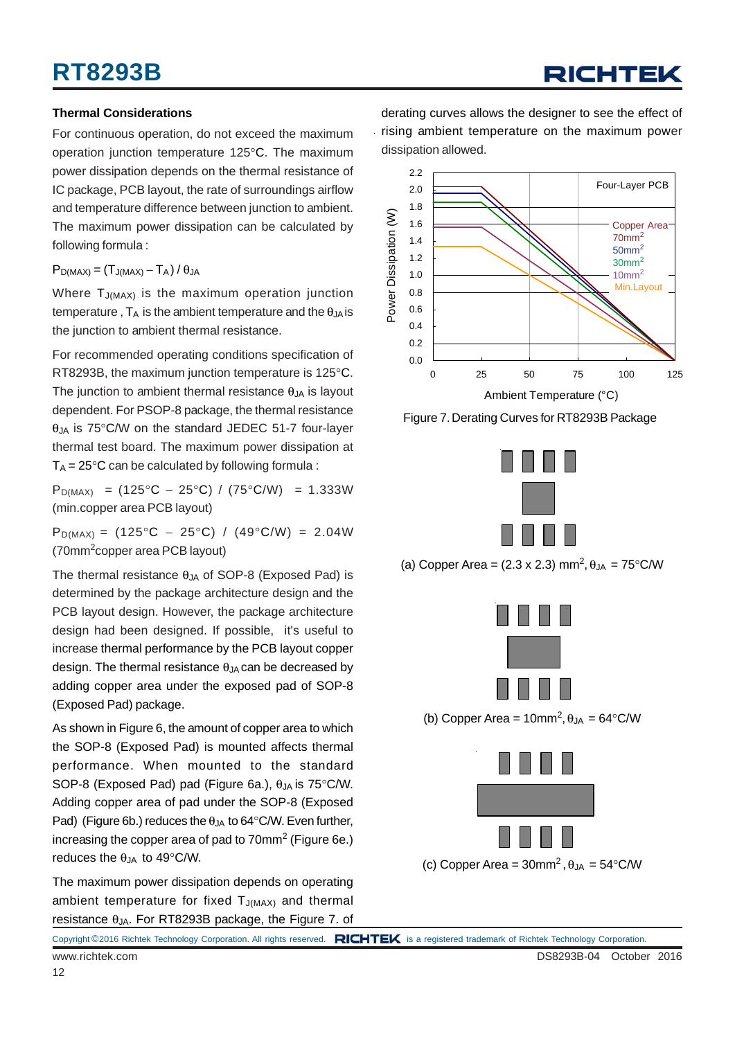# **RT8293B**

# RICHTEK

#### **Thermal Considerations**

For continuous operation, do not exceed the maximum operation junction temperature 125°C. The maximum power dissipation depends on the thermal resistance of IC package, PCB layout, the rate of surroundings airflow and temperature difference between junction to ambient. The maximum power dissipation can be calculated by following formula :

 $P_{D(MAX)} = (T_{J(MAX)} - T_A)/\theta_{JA}$ 

Where  $T_{J(MAX)}$  is the maximum operation junction temperature,  $T_A$  is the ambient temperature and the  $\theta_{JA}$  is the junction to ambient thermal resistance.

For recommended operating conditions specification of RT8293B, the maximum junction temperature is 125°C. The junction to ambient thermal resistance  $\theta_{JA}$  is layout dependent. For PSOP-8 package, the thermal resistance  $\theta$ <sub>JA</sub> is 75°C/W on the standard JEDEC 51-7 four-layer thermal test board. The maximum power dissipation at  $T_A = 25^{\circ}$ C can be calculated by following formula :

 $P_{D(MAX)} = (125^{\circ}C - 25^{\circ}C) / (75^{\circ}C/W) = 1.333W$ (min.copper area PCB layout)

 $P_{D(MAX)} = (125^{\circ}C - 25^{\circ}C) / (49^{\circ}C/W) = 2.04W$ (70mm<sup>2</sup> copper area PCB layout)

The thermal resistance  $\theta$ <sub>JA</sub> of SOP-8 (Exposed Pad) is determined by the package architecture design and the PCB layout design. However, the package architecture design had been designed. If possible, it's useful to increase thermal performance by the PCB layout copper design. The thermal resistance  $\theta_{JA}$  can be decreased by adding copper area under the exposed pad of SOP-8 (Exposed Pad) package.

As shown in Figure 6, the amount of copper area to which the SOP-8 (Exposed Pad) is mounted affects thermal performance. When mounted to the standard SOP-8 (Exposed Pad) pad (Figure 6a.),  $\theta_{JA}$  is 75°C/W. Adding copper area of pad under the SOP-8 (Exposed Pad) (Figure 6b.) reduces the  $\theta_{JA}$  to 64°C/W. Even further, increasing the copper area of pad to 70mm $^2$  (Figure 6e.) reduces the  $\theta$ JA to 49°C/W.

The maximum power dissipation depends on operating ambient temperature for fixed  $T_{J(MAX)}$  and thermal resistance  $θ_{JA}$ . For RT8293B package, the Figure 7. of

derating curves allows the designer to see the effect of rising ambient temperature on the maximum power dissipation allowed.



Figure 7. Derating Curves for RT8293B Package



(a) Copper Area =  $(2.3 \times 2.3)$  mm<sup>2</sup>,  $\theta_{JA} = 75^{\circ}$ C/W



(b) Copper Area =  $10 \text{mm}^2$ ,  $\theta_{JA} = 64^{\circ}$ C/W



(c) Copper Area =  $30$ mm<sup>2</sup>,  $\theta_{JA} = 54^{\circ}$ C/W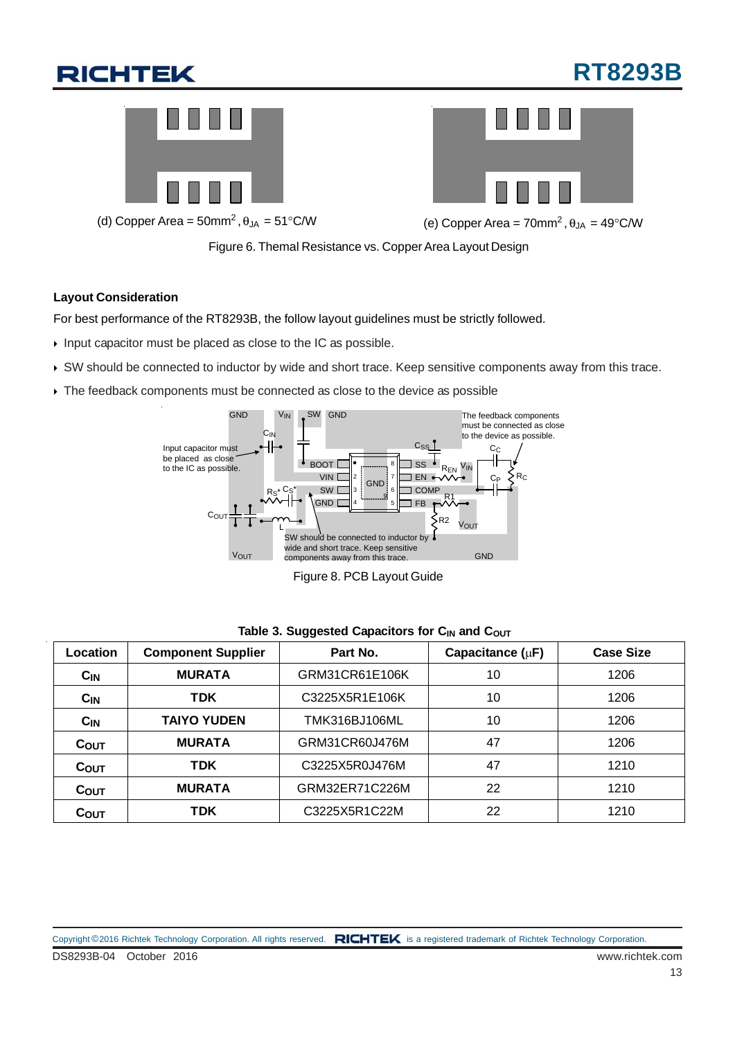# **RT8293B**





(d) Copper Area = 50mm<sup>2</sup>,  $\theta_{JA}$  = 51°C/W (e) Copper Area = 70mm<sup>2</sup>,  $\theta_{JA}$  = 49°C/W

Figure 6. Themal Resistance vs. Copper Area Layout Design

#### **Layout Consideration**

For best performance of the RT8293B, the follow layout guidelines must be strictly followed.

- $\triangleright$  Input capacitor must be placed as close to the IC as possible.
- SW should be connected to inductor by wide and short trace. Keep sensitive components away from this trace.
- $\rightarrow$  The feedback components must be connected as close to the device as possible



Figure 8. PCB Layout Guide

| Location  | <b>Component Supplier</b> | Part No.       | Capacitance $(\mu F)$ | <b>Case Size</b> |
|-----------|---------------------------|----------------|-----------------------|------------------|
| $C_{IN}$  | <b>MURATA</b>             | GRM31CR61E106K | 10                    | 1206             |
| $C_{IN}$  | <b>TDK</b>                | C3225X5R1E106K | 10                    | 1206             |
| $C_{IN}$  | <b>TAIYO YUDEN</b>        | TMK316BJ106ML  | 10                    | 1206             |
| $C_{OUT}$ | <b>MURATA</b>             | GRM31CR60J476M | 47                    | 1206             |
| $C_{OUT}$ | <b>TDK</b>                | C3225X5R0J476M | 47                    | 1210             |
| $C_{OUT}$ | <b>MURATA</b>             | GRM32ER71C226M | 22                    | 1210             |
| COUT      | <b>TDK</b>                | C3225X5R1C22M  | 22                    | 1210             |

#### Table 3. Suggested Capacitors for C<sub>IN</sub> and C<sub>OUT</sub>